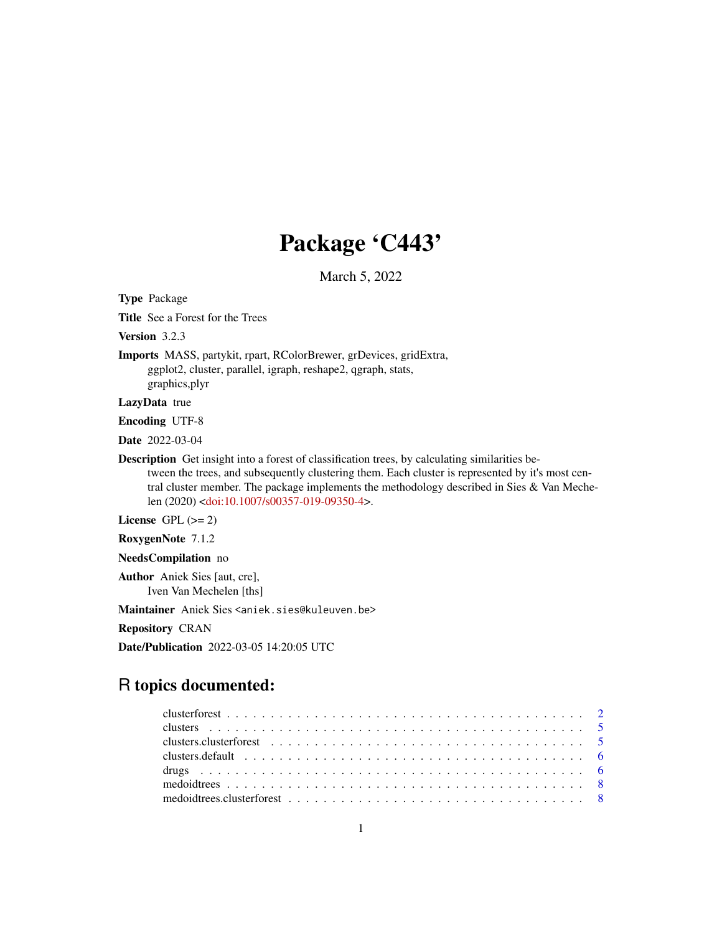# Package 'C443'

March 5, 2022

Type Package

Title See a Forest for the Trees

Version 3.2.3

Imports MASS, partykit, rpart, RColorBrewer, grDevices, gridExtra, ggplot2, cluster, parallel, igraph, reshape2, qgraph, stats, graphics,plyr

LazyData true

Encoding UTF-8

Date 2022-03-04

Description Get insight into a forest of classification trees, by calculating similarities between the trees, and subsequently clustering them. Each cluster is represented by it's most central cluster member. The package implements the methodology described in Sies & Van Mechelen (2020) [<doi:10.1007/s00357-019-09350-4>](https://doi.org/10.1007/s00357-019-09350-4).

License GPL  $(>= 2)$ 

RoxygenNote 7.1.2

NeedsCompilation no

Author Aniek Sies [aut, cre], Iven Van Mechelen [ths]

Maintainer Aniek Sies <aniek.sies@kuleuven.be>

Repository CRAN

Date/Publication 2022-03-05 14:20:05 UTC

# R topics documented: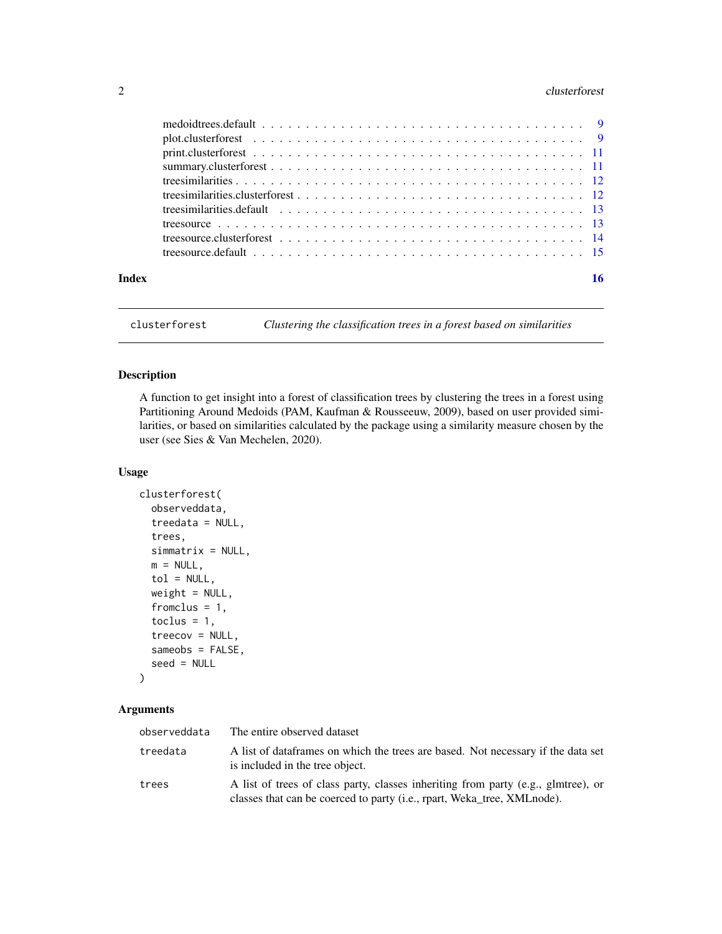# <span id="page-1-0"></span>2 clusterforest 2

| Index |  |
|-------|--|
|       |  |

clusterforest *Clustering the classification trees in a forest based on similarities*

# Description

A function to get insight into a forest of classification trees by clustering the trees in a forest using Partitioning Around Medoids (PAM, Kaufman & Rousseeuw, 2009), based on user provided similarities, or based on similarities calculated by the package using a similarity measure chosen by the user (see Sies & Van Mechelen, 2020).

# Usage

```
clusterforest(
  observeddata,
  treedata = NULL,
  trees,
  simmatrix = NULL,
  m = NULL,tol = NULL,weight = NULL,fromclus = 1,
  toclus = 1,
  treecov = NULL,
  sameobs = FALSE,
  seed = NULL
\mathcal{L}
```
# Arguments

| observeddata | The entire observed dataset                                                                                                                                  |
|--------------|--------------------------------------------------------------------------------------------------------------------------------------------------------------|
| treedata     | A list of dataframes on which the trees are based. Not necessary if the data set<br>is included in the tree object.                                          |
| trees        | A list of trees of class party, classes inheriting from party (e.g., glmtree), or<br>classes that can be coerced to party (i.e., rpart, Weka_tree, XMLnode). |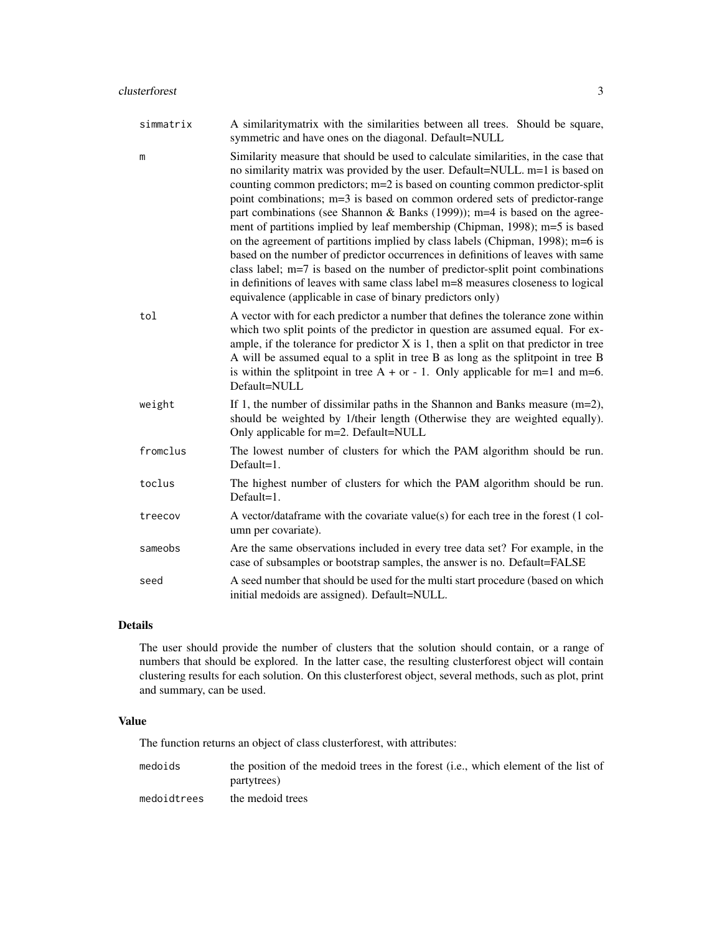| simmatrix | A similarity matrix with the similarities between all trees. Should be square,<br>symmetric and have ones on the diagonal. Default=NULL                                                                                                                                                                                                                                                                                                                                                                                                                                                                                                                                                                                                                                                                                                                                                                 |
|-----------|---------------------------------------------------------------------------------------------------------------------------------------------------------------------------------------------------------------------------------------------------------------------------------------------------------------------------------------------------------------------------------------------------------------------------------------------------------------------------------------------------------------------------------------------------------------------------------------------------------------------------------------------------------------------------------------------------------------------------------------------------------------------------------------------------------------------------------------------------------------------------------------------------------|
| m         | Similarity measure that should be used to calculate similarities, in the case that<br>no similarity matrix was provided by the user. Default=NULL. m=1 is based on<br>counting common predictors; m=2 is based on counting common predictor-split<br>point combinations; m=3 is based on common ordered sets of predictor-range<br>part combinations (see Shannon & Banks $(1999)$ ); m=4 is based on the agree-<br>ment of partitions implied by leaf membership (Chipman, 1998); m=5 is based<br>on the agreement of partitions implied by class labels (Chipman, 1998); m=6 is<br>based on the number of predictor occurrences in definitions of leaves with same<br>class label; m=7 is based on the number of predictor-split point combinations<br>in definitions of leaves with same class label m=8 measures closeness to logical<br>equivalence (applicable in case of binary predictors only) |
| tol       | A vector with for each predictor a number that defines the tolerance zone within<br>which two split points of the predictor in question are assumed equal. For ex-<br>ample, if the tolerance for predictor $X$ is 1, then a split on that predictor in tree<br>A will be assumed equal to a split in tree B as long as the splitpoint in tree B<br>is within the splitpoint in tree $A + or - 1$ . Only applicable for m=1 and m=6.<br>Default=NULL                                                                                                                                                                                                                                                                                                                                                                                                                                                    |
| weight    | If 1, the number of dissimilar paths in the Shannon and Banks measure $(m=2)$ ,<br>should be weighted by 1/their length (Otherwise they are weighted equally).<br>Only applicable for m=2. Default=NULL                                                                                                                                                                                                                                                                                                                                                                                                                                                                                                                                                                                                                                                                                                 |
| fromclus  | The lowest number of clusters for which the PAM algorithm should be run.<br>$Default=1.$                                                                                                                                                                                                                                                                                                                                                                                                                                                                                                                                                                                                                                                                                                                                                                                                                |
| toclus    | The highest number of clusters for which the PAM algorithm should be run.<br>$Default=1$ .                                                                                                                                                                                                                                                                                                                                                                                                                                                                                                                                                                                                                                                                                                                                                                                                              |
| treecov   | A vector/dataframe with the covariate value(s) for each tree in the forest (1 col-<br>umn per covariate).                                                                                                                                                                                                                                                                                                                                                                                                                                                                                                                                                                                                                                                                                                                                                                                               |
| sameobs   | Are the same observations included in every tree data set? For example, in the<br>case of subsamples or bootstrap samples, the answer is no. Default=FALSE                                                                                                                                                                                                                                                                                                                                                                                                                                                                                                                                                                                                                                                                                                                                              |
| seed      | A seed number that should be used for the multi start procedure (based on which<br>initial medoids are assigned). Default=NULL.                                                                                                                                                                                                                                                                                                                                                                                                                                                                                                                                                                                                                                                                                                                                                                         |

# Details

The user should provide the number of clusters that the solution should contain, or a range of numbers that should be explored. In the latter case, the resulting clusterforest object will contain clustering results for each solution. On this clusterforest object, several methods, such as plot, print and summary, can be used.

# Value

The function returns an object of class clusterforest, with attributes:

| medoids | the position of the medoid trees in the forest (i.e., which element of the list of |
|---------|------------------------------------------------------------------------------------|
|         | partytrees)                                                                        |
|         |                                                                                    |

medoidtrees the medoid trees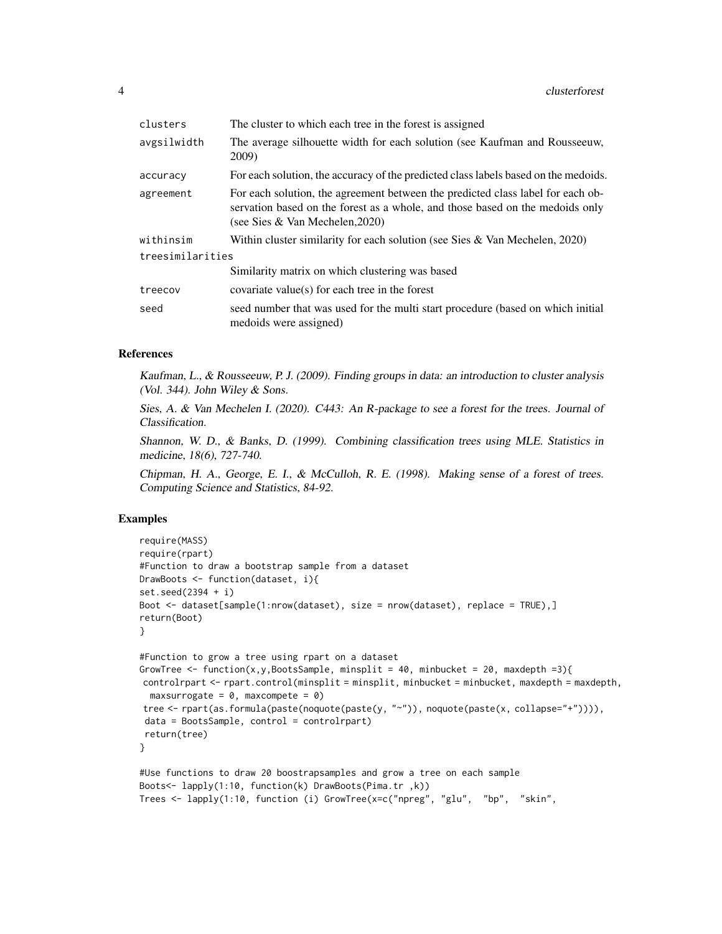| clusters         | The cluster to which each tree in the forest is assigned                                                                                                                                            |
|------------------|-----------------------------------------------------------------------------------------------------------------------------------------------------------------------------------------------------|
| avgsilwidth      | The average silhouette width for each solution (see Kaufman and Rousseeuw,<br>2009)                                                                                                                 |
| accuracy         | For each solution, the accuracy of the predicted class labels based on the medoids.                                                                                                                 |
| agreement        | For each solution, the agreement between the predicted class label for each ob-<br>servation based on the forest as a whole, and those based on the medoids only<br>(see Sies & Van Mechelen, 2020) |
| withinsim        | Within cluster similarity for each solution (see Sies & Van Mechelen, $2020$ )                                                                                                                      |
| treesimilarities |                                                                                                                                                                                                     |
|                  | Similarity matrix on which clustering was based                                                                                                                                                     |
| treecov          | covariate value(s) for each tree in the forest                                                                                                                                                      |
| seed             | seed number that was used for the multi start procedure (based on which initial<br>medoids were assigned)                                                                                           |

#### References

Kaufman, L., & Rousseeuw, P. J. (2009). Finding groups in data: an introduction to cluster analysis (Vol. 344). John Wiley & Sons.

Sies, A. & Van Mechelen I. (2020). C443: An R-package to see a forest for the trees. Journal of Classification.

Shannon, W. D., & Banks, D. (1999). Combining classification trees using MLE. Statistics in medicine, 18(6), 727-740.

Chipman, H. A., George, E. I., & McCulloh, R. E. (1998). Making sense of a forest of trees. Computing Science and Statistics, 84-92.

#### Examples

```
require(MASS)
require(rpart)
#Function to draw a bootstrap sample from a dataset
DrawBoots <- function(dataset, i){
set.seed(2394 + i)
Boot <- dataset[sample(1:nrow(dataset), size = nrow(dataset), replace = TRUE),]
return(Boot)
}
#Function to grow a tree using rpart on a dataset
GrowTree \le function(x,y,BootsSample, minsplit = 40, minbucket = 20, maxdepth =3){
controlrpart <- rpart.control(minsplit = minsplit, minbucket = minbucket, maxdepth = maxdepth,
 maxsurrogate = 0, maxcompete = 0)
tree <- rpart(as.formula(paste(noquote(paste(y, "~")), noquote(paste(x, collapse="+")))),
data = BootsSample, control = controlrpart)
return(tree)
}
#Use functions to draw 20 boostrapsamples and grow a tree on each sample
Boots<- lapply(1:10, function(k) DrawBoots(Pima.tr ,k))
Trees <- lapply(1:10, function (i) GrowTree(x=c("npreg", "glu", "bp", "skin",
```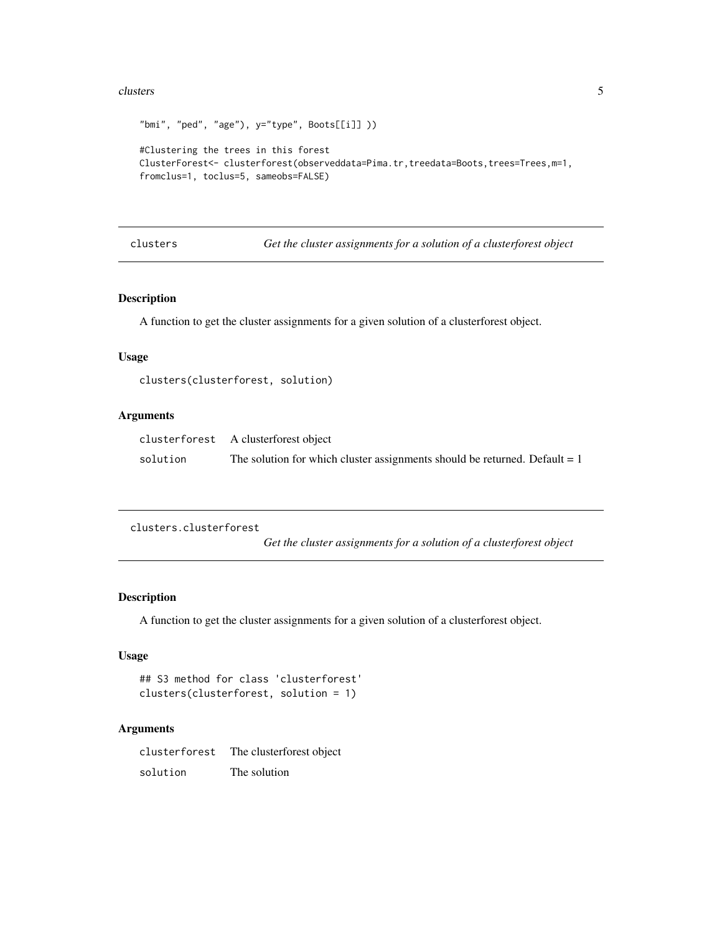#### <span id="page-4-0"></span>clusters 5

```
"bmi", "ped", "age"), y='type", Boots[[i]] ))
#Clustering the trees in this forest
ClusterForest<- clusterforest(observeddata=Pima.tr,treedata=Boots,trees=Trees,m=1,
fromclus=1, toclus=5, sameobs=FALSE)
```
clusters *Get the cluster assignments for a solution of a clusterforest object*

# Description

A function to get the cluster assignments for a given solution of a clusterforest object.

# Usage

```
clusters(clusterforest, solution)
```
# Arguments

|          | clusterforest A clusterforest object                                         |
|----------|------------------------------------------------------------------------------|
| solution | The solution for which cluster assignments should be returned. Default $= 1$ |

clusters.clusterforest

*Get the cluster assignments for a solution of a clusterforest object*

# Description

A function to get the cluster assignments for a given solution of a clusterforest object.

# Usage

```
## S3 method for class 'clusterforest'
clusters(clusterforest, solution = 1)
```
### Arguments

clusterforest The clusterforest object solution The solution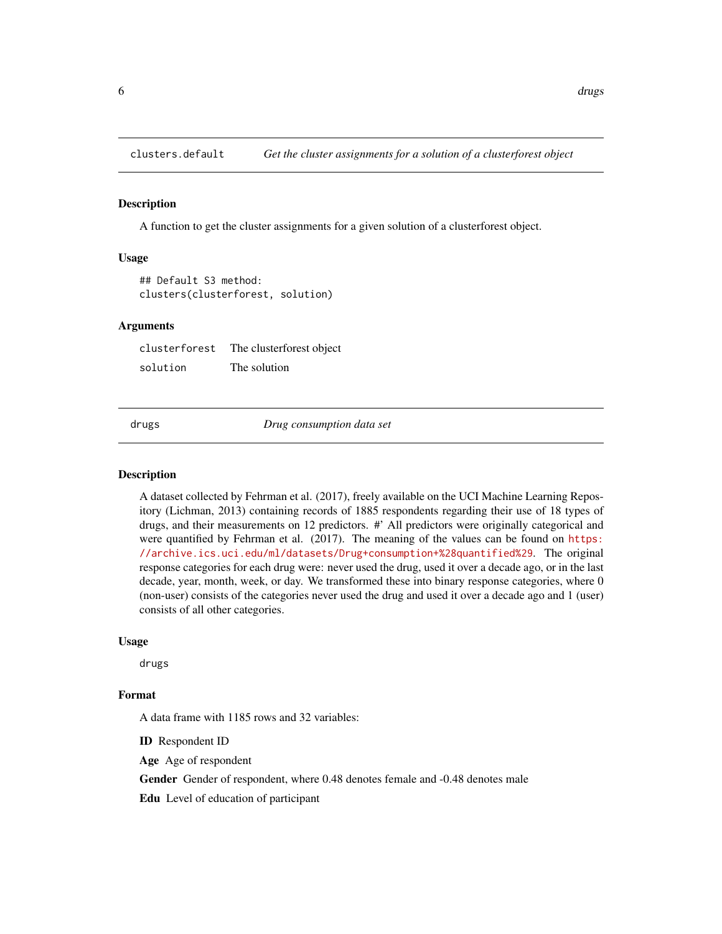<span id="page-5-0"></span>

#### Description

A function to get the cluster assignments for a given solution of a clusterforest object.

#### Usage

```
## Default S3 method:
clusters(clusterforest, solution)
```
#### Arguments

clusterforest The clusterforest object solution The solution

drugs *Drug consumption data set*

#### Description

A dataset collected by Fehrman et al. (2017), freely available on the UCI Machine Learning Repository (Lichman, 2013) containing records of 1885 respondents regarding their use of 18 types of drugs, and their measurements on 12 predictors. #' All predictors were originally categorical and were quantified by Fehrman et al. (2017). The meaning of the values can be found on [https:](https://archive.ics.uci.edu/ml/datasets/Drug+consumption+%28quantified%29) [//archive.ics.uci.edu/ml/datasets/Drug+consumption+%28quantified%29](https://archive.ics.uci.edu/ml/datasets/Drug+consumption+%28quantified%29). The original response categories for each drug were: never used the drug, used it over a decade ago, or in the last decade, year, month, week, or day. We transformed these into binary response categories, where 0 (non-user) consists of the categories never used the drug and used it over a decade ago and 1 (user) consists of all other categories.

#### Usage

drugs

# Format

A data frame with 1185 rows and 32 variables:

ID Respondent ID

Age Age of respondent

Gender Gender of respondent, where 0.48 denotes female and -0.48 denotes male

Edu Level of education of participant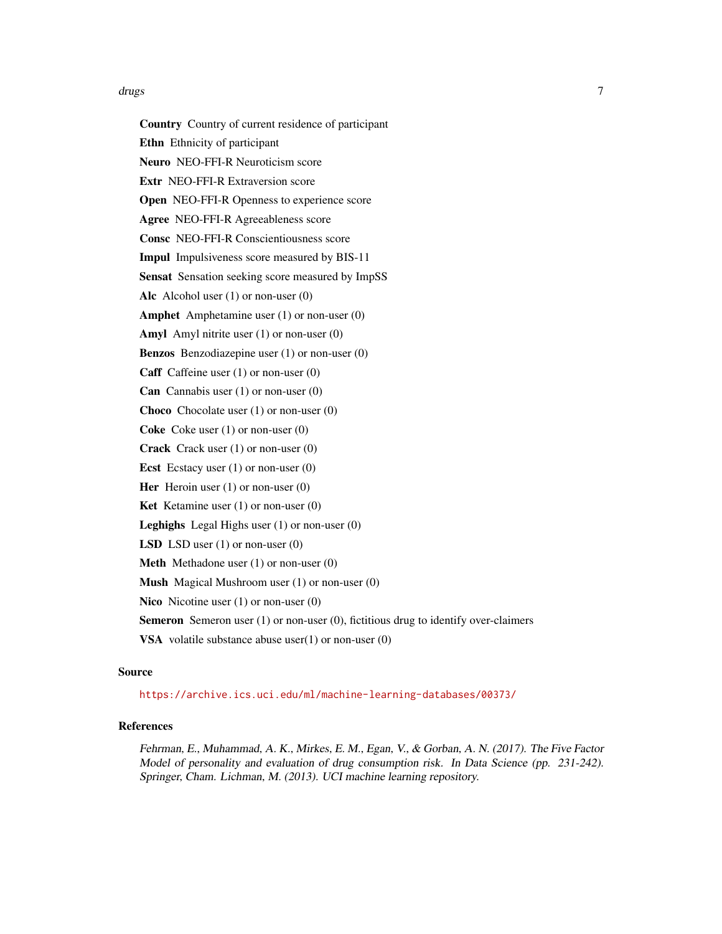#### drugs that the contract of the contract of the contract of the contract of the contract of the contract of the contract of the contract of the contract of the contract of the contract of the contract of the contract of the

Country Country of current residence of participant Ethn Ethnicity of participant Neuro NEO-FFI-R Neuroticism score Extr NEO-FFI-R Extraversion score Open NEO-FFI-R Openness to experience score Agree NEO-FFI-R Agreeableness score Consc NEO-FFI-R Conscientiousness score Impul Impulsiveness score measured by BIS-11 Sensat Sensation seeking score measured by ImpSS Alc Alcohol user (1) or non-user (0) Amphet Amphetamine user (1) or non-user (0) Amyl Amyl nitrite user (1) or non-user (0) Benzos Benzodiazepine user (1) or non-user (0) Caff Caffeine user (1) or non-user (0) **Can** Cannabis user  $(1)$  or non-user  $(0)$ Choco Chocolate user (1) or non-user (0) Coke Coke user (1) or non-user (0) Crack Crack user (1) or non-user (0) **Ecst** Ecstacy user  $(1)$  or non-user  $(0)$ Her Heroin user  $(1)$  or non-user  $(0)$ **Ket** Ketamine user  $(1)$  or non-user  $(0)$ Leghighs Legal Highs user (1) or non-user (0) **LSD** LSD user  $(1)$  or non-user  $(0)$ Meth Methadone user (1) or non-user (0) Mush Magical Mushroom user (1) or non-user (0) Nico Nicotine user (1) or non-user (0)

Semeron Semeron user (1) or non-user (0), fictitious drug to identify over-claimers

**VSA** volatile substance abuse user $(1)$  or non-user  $(0)$ 

#### Source

<https://archive.ics.uci.edu/ml/machine-learning-databases/00373/>

# References

Fehrman, E., Muhammad, A. K., Mirkes, E. M., Egan, V., & Gorban, A. N. (2017). The Five Factor Model of personality and evaluation of drug consumption risk. In Data Science (pp. 231-242). Springer, Cham. Lichman, M. (2013). UCI machine learning repository.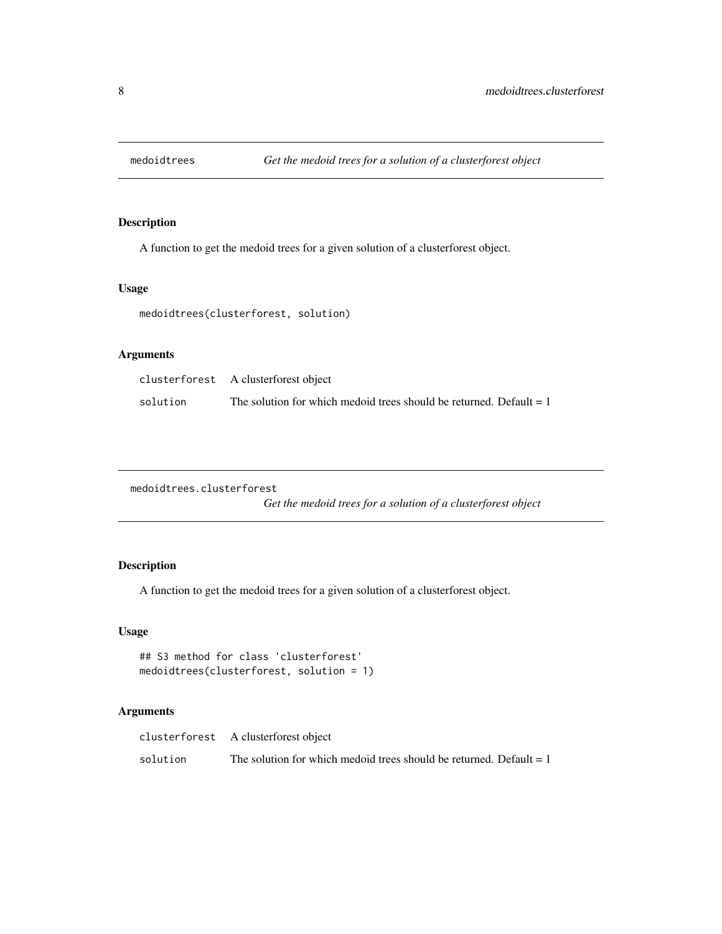<span id="page-7-0"></span>

# Description

A function to get the medoid trees for a given solution of a clusterforest object.

# Usage

medoidtrees(clusterforest, solution)

# Arguments

|          | clusterforest A clusterforest object                                  |
|----------|-----------------------------------------------------------------------|
| solution | The solution for which medoid trees should be returned. Default $= 1$ |

medoidtrees.clusterforest

*Get the medoid trees for a solution of a clusterforest object*

# Description

A function to get the medoid trees for a given solution of a clusterforest object.

# Usage

```
## S3 method for class 'clusterforest'
medoidtrees(clusterforest, solution = 1)
```
# Arguments

|          | clusterforest A clusterforest object                                  |
|----------|-----------------------------------------------------------------------|
| solution | The solution for which medoid trees should be returned. Default $= 1$ |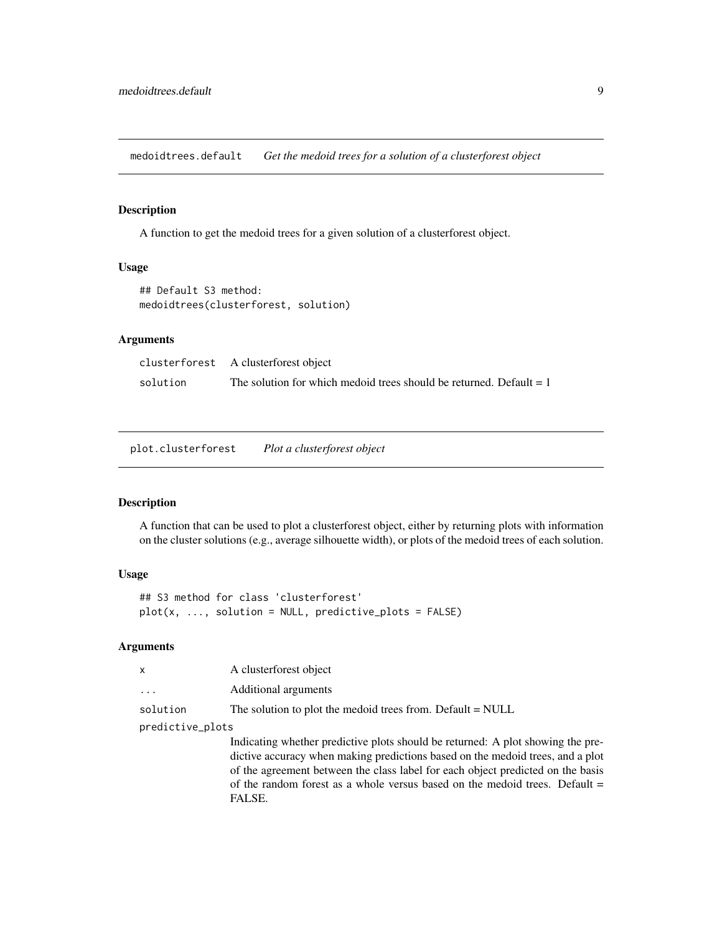<span id="page-8-0"></span>medoidtrees.default *Get the medoid trees for a solution of a clusterforest object*

# Description

A function to get the medoid trees for a given solution of a clusterforest object.

#### Usage

```
## Default S3 method:
medoidtrees(clusterforest, solution)
```
#### Arguments

|          | clusterforest A clusterforest object                                  |
|----------|-----------------------------------------------------------------------|
| solution | The solution for which medoid trees should be returned. Default $= 1$ |

plot.clusterforest *Plot a clusterforest object*

#### Description

A function that can be used to plot a clusterforest object, either by returning plots with information on the cluster solutions (e.g., average silhouette width), or plots of the medoid trees of each solution.

# Usage

```
## S3 method for class 'clusterforest'
plot(x, ..., solution = NULL, predictive_plots = FALSE)
```
#### Arguments

| $\mathsf{X}$         | A clusterforest object                                     |  |  |  |  |
|----------------------|------------------------------------------------------------|--|--|--|--|
| $\ddot{\phantom{0}}$ | Additional arguments                                       |  |  |  |  |
| solution             | The solution to plot the medoid trees from. Default = NULL |  |  |  |  |
| predictive_plots     |                                                            |  |  |  |  |

Indicating whether predictive plots should be returned: A plot showing the predictive accuracy when making predictions based on the medoid trees, and a plot of the agreement between the class label for each object predicted on the basis of the random forest as a whole versus based on the medoid trees. Default = FALSE.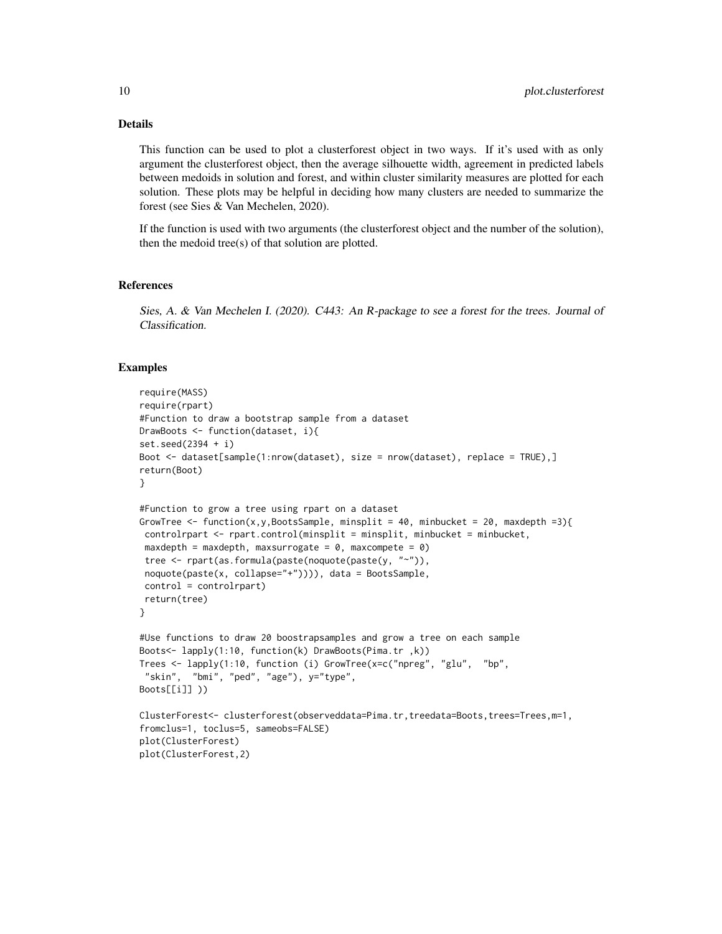# Details

This function can be used to plot a clusterforest object in two ways. If it's used with as only argument the clusterforest object, then the average silhouette width, agreement in predicted labels between medoids in solution and forest, and within cluster similarity measures are plotted for each solution. These plots may be helpful in deciding how many clusters are needed to summarize the forest (see Sies & Van Mechelen, 2020).

If the function is used with two arguments (the clusterforest object and the number of the solution), then the medoid tree(s) of that solution are plotted.

#### References

Sies, A. & Van Mechelen I. (2020). C443: An R-package to see a forest for the trees. Journal of Classification.

#### Examples

```
require(MASS)
require(rpart)
#Function to draw a bootstrap sample from a dataset
DrawBoots <- function(dataset, i){
set.seed(2394 + i)
Boot <- dataset[sample(1:nrow(dataset), size = nrow(dataset), replace = TRUE),]
return(Boot)
}
#Function to grow a tree using rpart on a dataset
GrowTree <- function(x,y,BootsSample, minsplit = 40, minbucket = 20, maxdepth =3){
 controlrpart <- rpart.control(minsplit = minsplit, minbucket = minbucket,
 maxdepth = maxdepth, maxsurrogate = 0, maxcompete = 0)
 tree <- rpart(as.formula(paste(noquote(paste(y, "~")),
 noquote(paste(x, collapse="+")))), data = BootsSample,
 control = controlrpart)
 return(tree)
}
#Use functions to draw 20 boostrapsamples and grow a tree on each sample
Boots<- lapply(1:10, function(k) DrawBoots(Pima.tr ,k))
Trees <- lapply(1:10, function (i) GrowTree(x=c("npreg", "glu", "bp",
 "skin", "bmi", "ped", "age"), y="type",
Boots[[i]] ))
ClusterForest<- clusterforest(observeddata=Pima.tr,treedata=Boots,trees=Trees,m=1,
fromclus=1, toclus=5, sameobs=FALSE)
plot(ClusterForest)
plot(ClusterForest,2)
```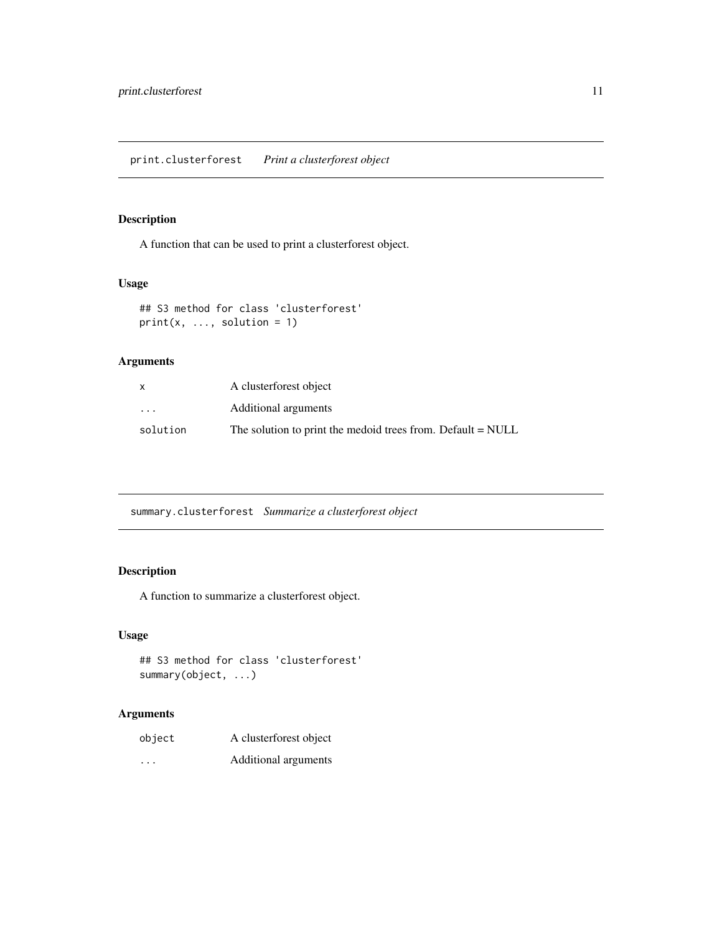# <span id="page-10-0"></span>Description

A function that can be used to print a clusterforest object.

# Usage

## S3 method for class 'clusterforest'  $print(x, ..., solution = 1)$ 

# Arguments

|                         | A clusterforest object                                      |
|-------------------------|-------------------------------------------------------------|
| $\cdot$ $\cdot$ $\cdot$ | Additional arguments                                        |
| solution                | The solution to print the medoid trees from. Default = NULL |

summary.clusterforest *Summarize a clusterforest object*

# Description

A function to summarize a clusterforest object.

# Usage

## S3 method for class 'clusterforest' summary(object, ...)

# Arguments

| object   | A clusterforest object |
|----------|------------------------|
| $\cdots$ | Additional arguments   |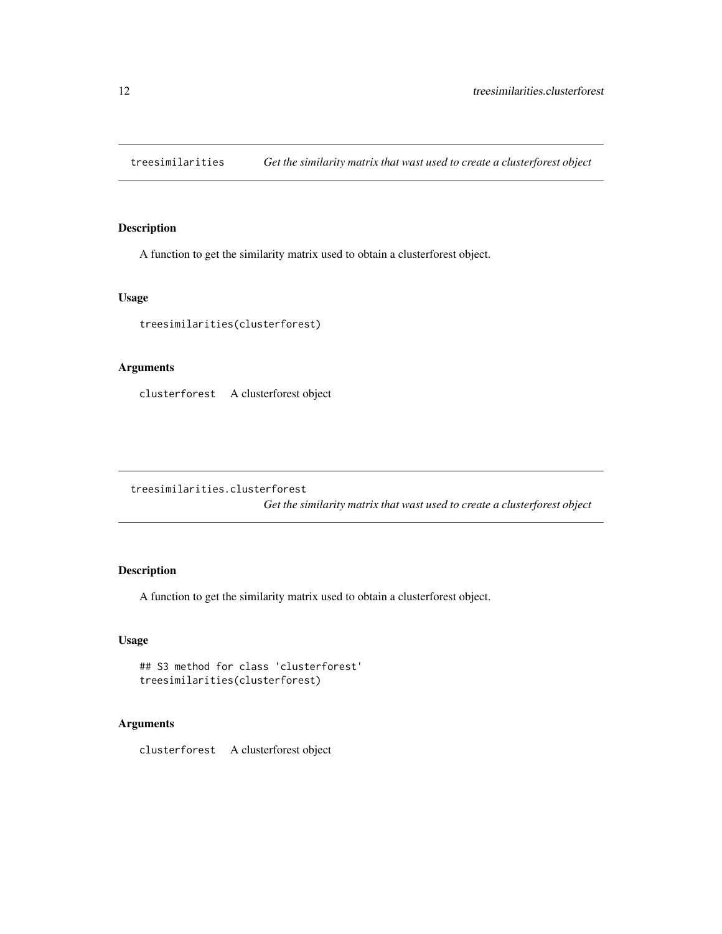<span id="page-11-0"></span>treesimilarities *Get the similarity matrix that wast used to create a clusterforest object*

# Description

A function to get the similarity matrix used to obtain a clusterforest object.

# Usage

treesimilarities(clusterforest)

# Arguments

clusterforest A clusterforest object

treesimilarities.clusterforest

*Get the similarity matrix that wast used to create a clusterforest object*

# Description

A function to get the similarity matrix used to obtain a clusterforest object.

#### Usage

```
## S3 method for class 'clusterforest'
treesimilarities(clusterforest)
```
# Arguments

clusterforest A clusterforest object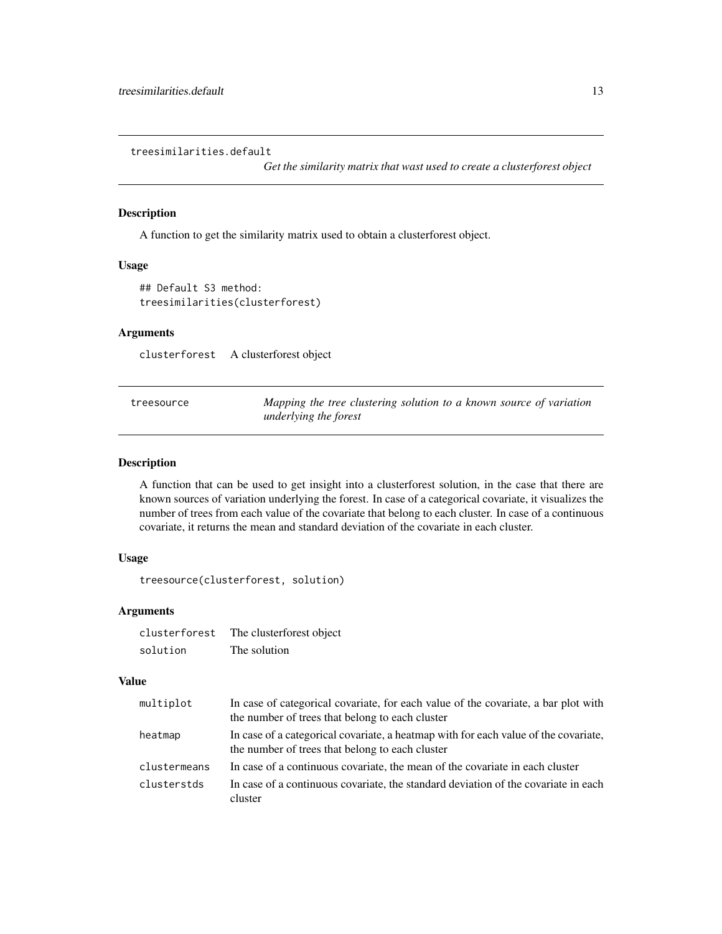<span id="page-12-0"></span>treesimilarities.default

*Get the similarity matrix that wast used to create a clusterforest object*

# Description

A function to get the similarity matrix used to obtain a clusterforest object.

# Usage

```
## Default S3 method:
treesimilarities(clusterforest)
```
# Arguments

clusterforest A clusterforest object

| treesource | Mapping the tree clustering solution to a known source of variation |
|------------|---------------------------------------------------------------------|
|            | underlying the forest                                               |

#### Description

A function that can be used to get insight into a clusterforest solution, in the case that there are known sources of variation underlying the forest. In case of a categorical covariate, it visualizes the number of trees from each value of the covariate that belong to each cluster. In case of a continuous covariate, it returns the mean and standard deviation of the covariate in each cluster.

# Usage

treesource(clusterforest, solution)

# Arguments

| clusterforest | The clusterforest object |
|---------------|--------------------------|
| solution      | The solution             |

#### Value

| multiplot    | In case of categorical covariate, for each value of the covariate, a bar plot with<br>the number of trees that belong to each cluster  |
|--------------|----------------------------------------------------------------------------------------------------------------------------------------|
| heatmap      | In case of a categorical covariate, a heatmap with for each value of the covariate,<br>the number of trees that belong to each cluster |
| clustermeans | In case of a continuous covariate, the mean of the covariate in each cluster                                                           |
| clusterstds  | In case of a continuous covariate, the standard deviation of the covariate in each<br>cluster                                          |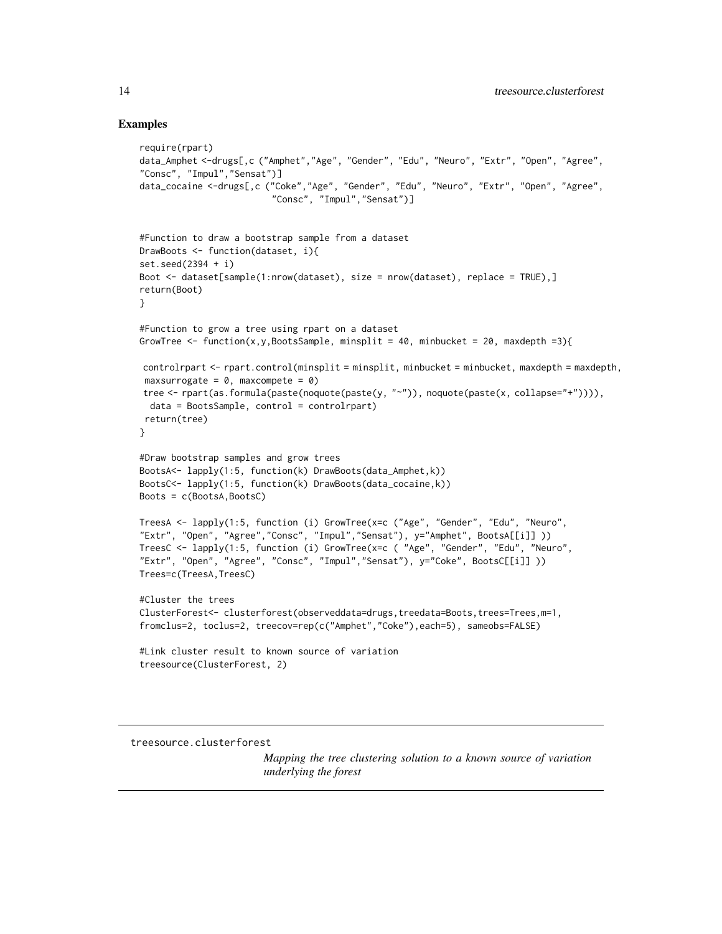#### Examples

```
require(rpart)
data_Amphet <-drugs[,c ("Amphet","Age", "Gender", "Edu", "Neuro", "Extr", "Open", "Agree",
"Consc", "Impul","Sensat")]
data_cocaine <-drugs[,c ("Coke","Age", "Gender", "Edu", "Neuro", "Extr", "Open", "Agree",
                          "Consc", "Impul","Sensat")]
#Function to draw a bootstrap sample from a dataset
DrawBoots <- function(dataset, i){
set.seed(2394 + i)
Boot <- dataset[sample(1:nrow(dataset), size = nrow(dataset), replace = TRUE),]
return(Boot)
}
#Function to grow a tree using rpart on a dataset
GrowTree <- function(x,y,BootsSample, minsplit = 40, minbucket = 20, maxdepth =3){
controlrpart <- rpart.control(minsplit = minsplit, minbucket = minbucket, maxdepth = maxdepth,
 maxsurrogate = 0, maxcompete = 0)
tree <- rpart(as.formula(paste(noquote(paste(y, "~")), noquote(paste(x, collapse="+")))),
  data = BootsSample, control = controlrpart)
 return(tree)
}
#Draw bootstrap samples and grow trees
BootsA<- lapply(1:5, function(k) DrawBoots(data_Amphet,k))
BootsC<- lapply(1:5, function(k) DrawBoots(data_cocaine,k))
Boots = c(BootsA,BootsC)
TreesA <- lapply(1:5, function (i) GrowTree(x=c ("Age", "Gender", "Edu", "Neuro",
"Extr", "Open", "Agree","Consc", "Impul","Sensat"), y="Amphet", BootsA[[i]] ))
TreesC <- lapply(1:5, function (i) GrowTree(x=c ( "Age", "Gender", "Edu", "Neuro",
"Extr", "Open", "Agree", "Consc", "Impul","Sensat"), y="Coke", BootsC[[i]] ))
Trees=c(TreesA,TreesC)
#Cluster the trees
ClusterForest<- clusterforest(observeddata=drugs,treedata=Boots,trees=Trees,m=1,
fromclus=2, toclus=2, treecov=rep(c("Amphet","Coke"),each=5), sameobs=FALSE)
#Link cluster result to known source of variation
treesource(ClusterForest, 2)
```
treesource.clusterforest

*Mapping the tree clustering solution to a known source of variation underlying the forest*

<span id="page-13-0"></span>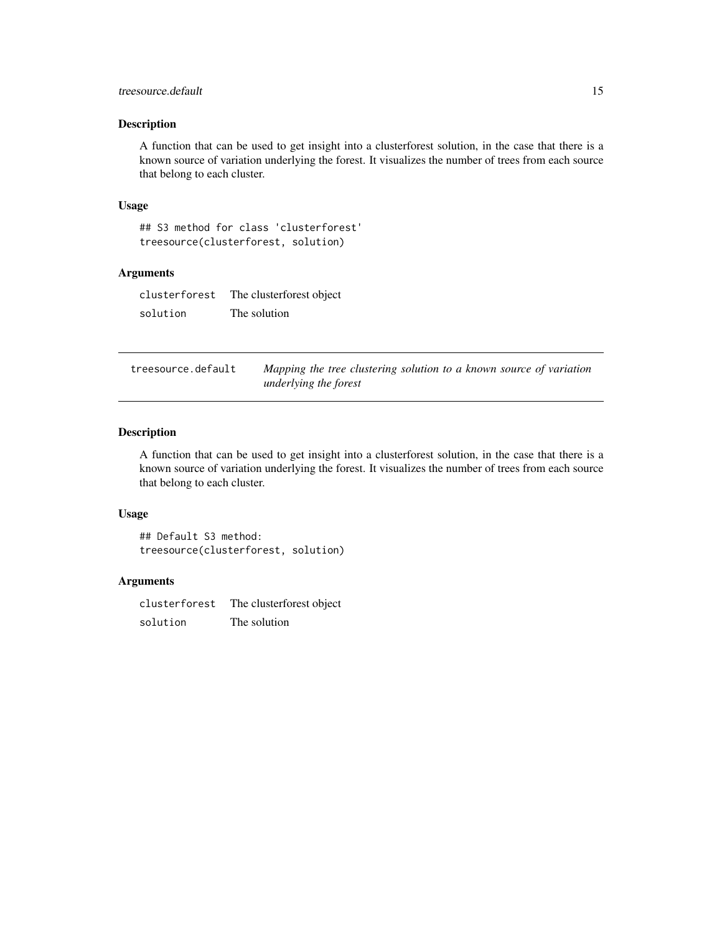# <span id="page-14-0"></span>treesource.default 15

# Description

A function that can be used to get insight into a clusterforest solution, in the case that there is a known source of variation underlying the forest. It visualizes the number of trees from each source that belong to each cluster.

#### Usage

## S3 method for class 'clusterforest' treesource(clusterforest, solution)

# Arguments

clusterforest The clusterforest object solution The solution

| treesource.default | Mapping the tree clustering solution to a known source of variation |
|--------------------|---------------------------------------------------------------------|
|                    | underlying the forest                                               |

#### Description

A function that can be used to get insight into a clusterforest solution, in the case that there is a known source of variation underlying the forest. It visualizes the number of trees from each source that belong to each cluster.

# Usage

## Default S3 method: treesource(clusterforest, solution)

#### Arguments

clusterforest The clusterforest object solution The solution